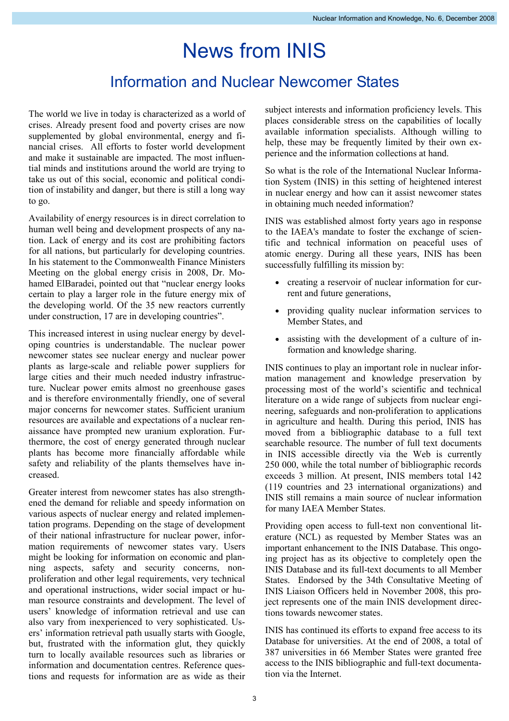## News from INIS

## Information and Nuclear Newcomer States

The world we live in today is characterized as a world of crises. Already present food and poverty crises are now supplemented by global environmental, energy and financial crises. All efforts to foster world development and make it sustainable are impacted. The most influential minds and institutions around the world are trying to take us out of this social, economic and political condition of instability and danger, but there is still a long way to go.

Availability of energy resources is in direct correlation to human well being and development prospects of any nation. Lack of energy and its cost are prohibiting factors for all nations, but particularly for developing countries. In his statement to the Commonwealth Finance Ministers Meeting on the global energy crisis in 2008, Dr. Mohamed ElBaradei, pointed out that "nuclear energy looks certain to play a larger role in the future energy mix of the developing world. Of the 35 new reactors currently under construction, 17 are in developing countries".

This increased interest in using nuclear energy by developing countries is understandable. The nuclear power newcomer states see nuclear energy and nuclear power plants as large-scale and reliable power suppliers for large cities and their much needed industry infrastructure. Nuclear power emits almost no greenhouse gases and is therefore environmentally friendly, one of several major concerns for newcomer states. Sufficient uranium resources are available and expectations of a nuclear renaissance have prompted new uranium exploration. Furthermore, the cost of energy generated through nuclear plants has become more financially affordable while safety and reliability of the plants themselves have increased.

Greater interest from newcomer states has also strengthened the demand for reliable and speedy information on various aspects of nuclear energy and related implementation programs. Depending on the stage of development of their national infrastructure for nuclear power, information requirements of newcomer states vary. Users might be looking for information on economic and planning aspects, safety and security concerns, nonproliferation and other legal requirements, very technical and operational instructions, wider social impact or human resource constraints and development. The level of users' knowledge of information retrieval and use can also vary from inexperienced to very sophisticated. Users' information retrieval path usually starts with Google, but, frustrated with the information glut, they quickly turn to locally available resources such as libraries or information and documentation centres. Reference questions and requests for information are as wide as their

subject interests and information proficiency levels. This places considerable stress on the capabilities of locally available information specialists. Although willing to help, these may be frequently limited by their own experience and the information collections at hand.

So what is the role of the International Nuclear Information System (INIS) in this setting of heightened interest in nuclear energy and how can it assist newcomer states in obtaining much needed information?

INIS was established almost forty years ago in response to the IAEA's mandate to foster the exchange of scientific and technical information on peaceful uses of atomic energy. During all these years, INIS has been successfully fulfilling its mission by:

- creating a reservoir of nuclear information for current and future generations,
- providing quality nuclear information services to Member States, and
- assisting with the development of a culture of information and knowledge sharing.

INIS continues to play an important role in nuclear information management and knowledge preservation by processing most of the world's scientific and technical literature on a wide range of subjects from nuclear engineering, safeguards and non-proliferation to applications in agriculture and health. During this period, INIS has moved from a bibliographic database to a full text searchable resource. The number of full text documents in INIS accessible directly via the Web is currently 250 000, while the total number of bibliographic records exceeds 3 million. At present, INIS members total 142 (119 countries and 23 international organizations) and INIS still remains a main source of nuclear information for many IAEA Member States.

Providing open access to full-text non conventional literature (NCL) as requested by Member States was an important enhancement to the INIS Database. This ongoing project has as its objective to completely open the INIS Database and its full-text documents to all Member States. Endorsed by the 34th Consultative Meeting of INIS Liaison Officers held in November 2008, this project represents one of the main INIS development directions towards newcomer states.

INIS has continued its efforts to expand free access to its Database for universities. At the end of 2008, a total of 387 universities in 66 Member States were granted free access to the INIS bibliographic and full-text documentation via the Internet.